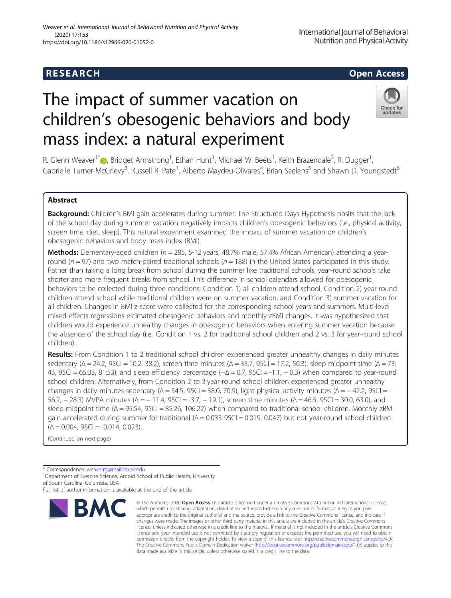## **RESEARCH CHILD CONTROL** CONTROL CONTROL CONTROL CONTROL CONTROL CONTROL CONTROL CONTROL CONTROL CONTROL CONTROL CONTROL CONTROL CONTROL CONTROL CONTROL CONTROL CONTROL CONTROL CONTROL CONTROL CONTROL CONTROL CONTROL CONTR

International Journal of Behavioral Nutrition and Physical Activity

# The impact of summer vacation on children's obesogenic behaviors and body mass index: a natural experiment



R. Glenn Weaver<sup>1[\\*](http://orcid.org/0000-0001-5889-974X)</sup>©, Bridget Armstrong<sup>1</sup>, Ethan Hunt<sup>1</sup>, Michael W. Beets<sup>1</sup>, Keith Brazendale<sup>2</sup>, R. Dugger<sup>1</sup> , Gabrielle Turner-McGrievy<sup>3</sup>, Russell R. Pate<sup>1</sup>, Alberto Maydeu-Olivares<sup>4</sup>, Brian Saelens<sup>5</sup> and Shawn D. Youngstedt<sup>6</sup>

### Abstract

Background: Children's BMI gain accelerates during summer. The Structured Days Hypothesis posits that the lack of the school day during summer vacation negatively impacts children's obesogenic behaviors (i.e., physical activity, screen time, diet, sleep). This natural experiment examined the impact of summer vacation on children's obesogenic behaviors and body mass index (BMI).

**Methods:** Elementary-aged children ( $n = 285$ , 5-12 years, 48.7% male, 57.4% African American) attending a yearround ( $n = 97$ ) and two match-paired traditional schools ( $n = 188$ ) in the United States participated in this study. Rather than taking a long break from school during the summer like traditional schools, year-round schools take shorter and more frequent breaks from school. This difference in school calendars allowed for obesogenic behaviors to be collected during three conditions: Condition 1) all children attend school, Condition 2) year-round children attend school while traditional children were on summer vacation, and Condition 3) summer vacation for all children. Changes in BMI z-score were collected for the corresponding school years and summers. Multi-level mixed effects regressions estimated obesogenic behaviors and monthly zBMI changes. It was hypothesized that children would experience unhealthy changes in obesogenic behaviors when entering summer vacation because the absence of the school day (i.e., Condition 1 vs. 2 for traditional school children and 2 vs. 3 for year-round school children).

Results: From Condition 1 to 2 traditional school children experienced greater unhealthy changes in daily minutes sedentary (Δ = 24.2, 95CI = 10.2, 38.2), screen time minutes (Δ = 33.7, 95CI = 17.2, 50.3), sleep midpoint time (Δ = 73: 43, 95CI = 65:33, 81:53), and sleep efficiency percentage (−Δ = 0.7, 95CI = -1.1, − 0.3) when compared to year-round school children. Alternatively, from Condition 2 to 3 year-round school children experienced greater unhealthy changes in daily minutes sedentary ( $\Delta = 54.5$ , 95Cl = 38.0, 70.9), light physical activity minutes ( $\Delta = -42.2$ , 95Cl = -56.2, − 28.3) MVPA minutes (Δ = − 11.4, 95CI = -3.7, − 19.1), screen time minutes (Δ = 46.5, 95CI = 30.0, 63.0), and sleep midpoint time (Δ = 95:54, 95CI = 85:26, 106:22) when compared to traditional school children. Monthly zBMI gain accelerated during summer for traditional (Δ = 0.033 95CI = 0.019, 0.047) but not year-round school children  $(\Delta = 0.004, 95CI = -0.014, 0.023).$ 

(Continued on next page)

\* Correspondence: [weaverrg@mailbox.sc.edu](mailto:weaverrg@mailbox.sc.edu) <sup>1</sup>

<sup>1</sup> Department of Exercise Science, Arnold School of Public Health, University of South Carolina, Columbia, USA

Full list of author information is available at the end of the article



<sup>©</sup> The Author(s), 2020 **Open Access** This article is licensed under a Creative Commons Attribution 4.0 International License, which permits use, sharing, adaptation, distribution and reproduction in any medium or format, as long as you give appropriate credit to the original author(s) and the source, provide a link to the Creative Commons licence, and indicate if changes were made. The images or other third party material in this article are included in the article's Creative Commons licence, unless indicated otherwise in a credit line to the material. If material is not included in the article's Creative Commons licence and your intended use is not permitted by statutory regulation or exceeds the permitted use, you will need to obtain permission directly from the copyright holder. To view a copy of this licence, visit [http://creativecommons.org/licenses/by/4.0/.](http://creativecommons.org/licenses/by/4.0/) The Creative Commons Public Domain Dedication waiver [\(http://creativecommons.org/publicdomain/zero/1.0/](http://creativecommons.org/publicdomain/zero/1.0/)) applies to the data made available in this article, unless otherwise stated in a credit line to the data.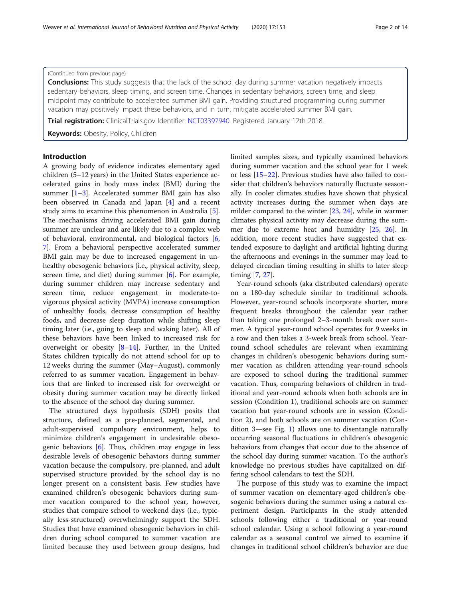#### (Continued from previous page)

**Conclusions:** This study suggests that the lack of the school day during summer vacation negatively impacts sedentary behaviors, sleep timing, and screen time. Changes in sedentary behaviors, screen time, and sleep midpoint may contribute to accelerated summer BMI gain. Providing structured programming during summer vacation may positively impact these behaviors, and in turn, mitigate accelerated summer BMI gain.

Trial registration: ClinicalTrials.gov Identifier: [NCT03397940](https://clinicaltrials.gov/ct2/show/NCT03397940?term=Role+of+Structured+Days+on+Weight+Gain&draw=2&rank=1). Registered January 12th 2018.

Keywords: Obesity, Policy, Children

#### Introduction

A growing body of evidence indicates elementary aged children (5–12 years) in the United States experience accelerated gains in body mass index (BMI) during the summer [[1](#page-12-0)–[3](#page-12-0)]. Accelerated summer BMI gain has also been observed in Canada and Japan [\[4](#page-12-0)] and a recent study aims to examine this phenomenon in Australia [\[5](#page-12-0)]. The mechanisms driving accelerated BMI gain during summer are unclear and are likely due to a complex web of behavioral, environmental, and biological factors [\[6](#page-12-0), [7\]](#page-12-0). From a behavioral perspective accelerated summer BMI gain may be due to increased engagement in unhealthy obesogenic behaviors (i.e., physical activity, sleep, screen time, and diet) during summer [[6\]](#page-12-0). For example, during summer children may increase sedentary and screen time, reduce engagement in moderate-tovigorous physical activity (MVPA) increase consumption of unhealthy foods, decrease consumption of healthy foods, and decrease sleep duration while shifting sleep timing later (i.e., going to sleep and waking later). All of these behaviors have been linked to increased risk for overweight or obesity [\[8](#page-12-0)–[14](#page-12-0)]. Further, in the United States children typically do not attend school for up to 12 weeks during the summer (May–August), commonly referred to as summer vacation. Engagement in behaviors that are linked to increased risk for overweight or obesity during summer vacation may be directly linked to the absence of the school day during summer.

The structured days hypothesis (SDH) posits that structure, defined as a pre-planned, segmented, and adult-supervised compulsory environment, helps to minimize children's engagement in undesirable obesogenic behaviors [\[6](#page-12-0)]. Thus, children may engage in less desirable levels of obesogenic behaviors during summer vacation because the compulsory, pre-planned, and adult supervised structure provided by the school day is no longer present on a consistent basis. Few studies have examined children's obesogenic behaviors during summer vacation compared to the school year, however, studies that compare school to weekend days (i.e., typically less-structured) overwhelmingly support the SDH. Studies that have examined obesogenic behaviors in children during school compared to summer vacation are limited because they used between group designs, had

limited samples sizes, and typically examined behaviors during summer vacation and the school year for 1 week or less [[15](#page-12-0)–[22](#page-12-0)]. Previous studies have also failed to consider that children's behaviors naturally fluctuate seasonally. In cooler climates studies have shown that physical activity increases during the summer when days are milder compared to the winter [\[23,](#page-12-0) [24\]](#page-12-0), while in warmer climates physical activity may decrease during the summer due to extreme heat and humidity [[25,](#page-12-0) [26\]](#page-12-0). In addition, more recent studies have suggested that extended exposure to daylight and artificial lighting during the afternoons and evenings in the summer may lead to delayed circadian timing resulting in shifts to later sleep timing [\[7](#page-12-0), [27](#page-12-0)].

Year-round schools (aka distributed calendars) operate on a 180-day schedule similar to traditional schools. However, year-round schools incorporate shorter, more frequent breaks throughout the calendar year rather than taking one prolonged 2–3-month break over summer. A typical year-round school operates for 9 weeks in a row and then takes a 3-week break from school. Yearround school schedules are relevant when examining changes in children's obesogenic behaviors during summer vacation as children attending year-round schools are exposed to school during the traditional summer vacation. Thus, comparing behaviors of children in traditional and year-round schools when both schools are in session (Condition 1), traditional schools are on summer vacation but year-round schools are in session (Condition 2), and both schools are on summer vacation (Condition 3—see Fig. [1](#page-2-0)) allows one to disentangle naturally occurring seasonal fluctuations in children's obesogenic behaviors from changes that occur due to the absence of the school day during summer vacation. To the author's knowledge no previous studies have capitalized on differing school calendars to test the SDH.

The purpose of this study was to examine the impact of summer vacation on elementary-aged children's obesogenic behaviors during the summer using a natural experiment design. Participants in the study attended schools following either a traditional or year-round school calendar. Using a school following a year-round calendar as a seasonal control we aimed to examine if changes in traditional school children's behavior are due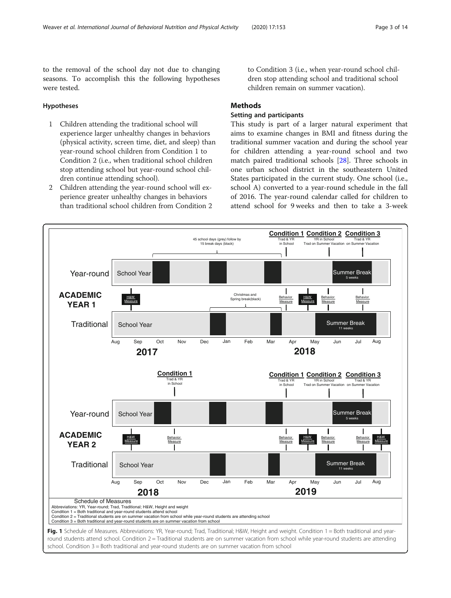<span id="page-2-0"></span>to the removal of the school day not due to changing seasons. To accomplish this the following hypotheses were tested.

#### Hypotheses

- 1 Children attending the traditional school will experience larger unhealthy changes in behaviors (physical activity, screen time, diet, and sleep) than year-round school children from Condition 1 to Condition 2 (i.e., when traditional school children stop attending school but year-round school children continue attending school).
- 2 Children attending the year-round school will experience greater unhealthy changes in behaviors than traditional school children from Condition 2

to Condition 3 (i.e., when year-round school children stop attending school and traditional school children remain on summer vacation).

#### **Methods**

#### Setting and participants

This study is part of a larger natural experiment that aims to examine changes in BMI and fitness during the traditional summer vacation and during the school year for children attending a year-round school and two match paired traditional schools [\[28](#page-12-0)]. Three schools in one urban school district in the southeastern United States participated in the current study. One school (i.e., school A) converted to a year-round schedule in the fall of 2016. The year-round calendar called for children to attend school for 9 weeks and then to take a 3-week

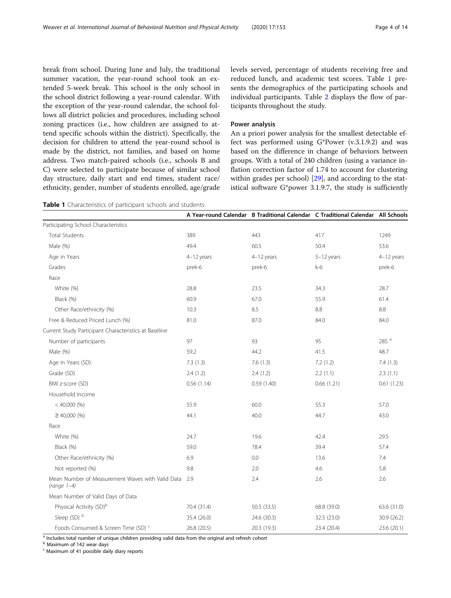<span id="page-3-0"></span>break from school. During June and July, the traditional summer vacation, the year-round school took an extended 5-week break. This school is the only school in the school district following a year-round calendar. With the exception of the year-round calendar, the school follows all district policies and procedures, including school zoning practices (i.e., how children are assigned to attend specific schools within the district). Specifically, the decision for children to attend the year-round school is made by the district, not families, and based on home address. Two match-paired schools (i.e., schools B and C) were selected to participate because of similar school day structure, daily start and end times, student race/ ethnicity, gender, number of students enrolled, age/grade

Table 1 Characteristics of participant schools and students

levels served, percentage of students receiving free and reduced lunch, and academic test scores. Table 1 presents the demographics of the participating schools and individual participants. Table [2](#page-4-0) displays the flow of participants throughout the study.

#### Power analysis

An a priori power analysis for the smallest detectable effect was performed using G\*Power (v.3.1.9.2) and was based on the difference in change of behaviors between groups. With a total of 240 children (using a variance inflation correction factor of 1.74 to account for clustering within grades per school) [\[29](#page-12-0)], and according to the statistical software G\*power 3.1.9.7, the study is sufficiently

|                                                                       |             | A Year-round Calendar B Traditional Calendar C Traditional Calendar All Schools |              |                  |
|-----------------------------------------------------------------------|-------------|---------------------------------------------------------------------------------|--------------|------------------|
| Participating School Characteristics                                  |             |                                                                                 |              |                  |
| <b>Total Students</b>                                                 | 389         | 443                                                                             | 417          | 1249             |
| Male (%)                                                              | 49.4        | 60.5                                                                            | 50.4         | 53.6             |
| Age in Years                                                          | 4-12 years  | 4-12 years                                                                      | $5-12$ years | 4-12 years       |
| Grades                                                                | prek-6      | prek-6                                                                          | $k-6$        | prek-6           |
| Race                                                                  |             |                                                                                 |              |                  |
| White (%)                                                             | 28.8        | 23.5                                                                            | 34.3         | 28.7             |
| Black (%)                                                             | 60.9        | 67.0                                                                            | 55.9         | 61.4             |
| Other Race/ethnicity (%)                                              | 10.3        | 8.5                                                                             | 8.8          | 8.8              |
| Free & Reduced Priced Lunch (%)                                       | 81.0        | 87.0                                                                            | 84.0         | 84.0             |
| Current Study Participant Characteristics at Baseline                 |             |                                                                                 |              |                  |
| Number of participants                                                | 97          | 93                                                                              | 95           | 285 <sup>a</sup> |
| Male (%)                                                              | 59.2        | 44.2                                                                            | 41.5         | 48.7             |
| Age in Years (SD)                                                     | 7.3(1.3)    | 7.6(1.3)                                                                        | 7.2(1.2)     | 7.4(1.3)         |
| Grade (SD)                                                            | 2.4(1.2)    | 2.4(1.2)                                                                        | 2.2(1.1)     | 2.3(1.1)         |
| BMI z-score (SD)                                                      | 0.56(1.14)  | 0.59(1.40)                                                                      | 0.66(1.21)   | 0.61(1.23)       |
| Household Income                                                      |             |                                                                                 |              |                  |
| $< 40,000$ (%)                                                        | 55.9        | 60.0                                                                            | 55.3         | 57.0             |
| $\geq 40,000$ (%)                                                     | 44.1        | 40.0                                                                            | 44.7         | 43.0             |
| Race                                                                  |             |                                                                                 |              |                  |
| White (%)                                                             | 24.7        | 19.6                                                                            | 42.4         | 29.5             |
| Black (%)                                                             | 59.0        | 78.4                                                                            | 39.4         | 57.4             |
| Other Race/ethnicity (%)                                              | 6.9         | 0.0                                                                             | 13.6         | 7.4              |
| Not reported (%)                                                      | 9.8         | 2.0                                                                             | 4.6          | 5.8              |
| Mean Number of Measurement Waves with Valid Data 2.9<br>$(range 1-4)$ |             | 2.4                                                                             | 2.6          | 2.6              |
| Mean Number of Valid Days of Data                                     |             |                                                                                 |              |                  |
| Physical Activity (SD) <sup>b</sup>                                   | 70.4 (31.4) | 50.5 (33.5)                                                                     | 68.8 (39.0)  | 63.6 (31.0)      |
| Sleep (SD) b                                                          | 35.4 (26.0) | 24.6 (30.3)                                                                     | 32.5 (23.0)  | 30.9 (26.2)      |
| Foods Consumed & Screen Time (SD) <sup>c</sup>                        | 26.8 (20.5) | 20.3 (19.3)                                                                     | 23.4 (20.4)  | 23.6 (20.1)      |

<sup>a</sup> Includes total number of unique children providing valid data from the original and refresh cohort

b Maximum of 142 wear days

 $c$  Maximum of 41 possible daily diary reports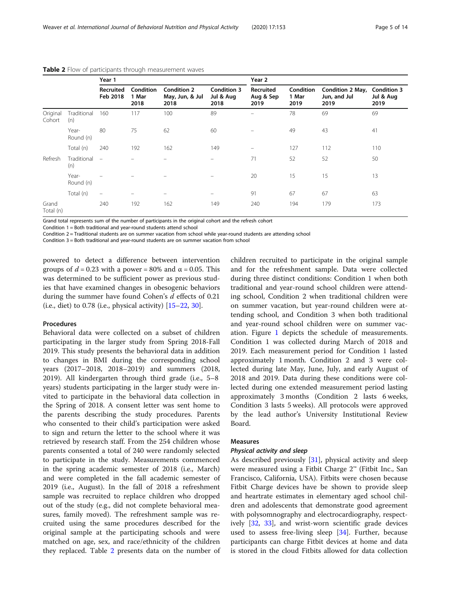|                    |                    | Year 1                       |                                   |                                               |                                         | Year 2                         |                            |                                          |                                         |
|--------------------|--------------------|------------------------------|-----------------------------------|-----------------------------------------------|-----------------------------------------|--------------------------------|----------------------------|------------------------------------------|-----------------------------------------|
|                    |                    | <b>Recruited</b><br>Feb 2018 | <b>Condition</b><br>1 Mar<br>2018 | <b>Condition 2</b><br>May, Jun, & Jul<br>2018 | <b>Condition 3</b><br>Jul & Aug<br>2018 | Recruited<br>Aug & Sep<br>2019 | Condition<br>1 Mar<br>2019 | Condition 2 May,<br>Jun, and Jul<br>2019 | <b>Condition 3</b><br>Jul & Aug<br>2019 |
| Original<br>Cohort | Traditional<br>(n) | 160                          | 117                               | 100                                           | 89                                      | <u>.</u>                       | 78                         | 69                                       | 69                                      |
|                    | Year-<br>Round (n) | 80                           | 75                                | 62                                            | 60                                      |                                | 49                         | 43                                       | 41                                      |
|                    | Total (n)          | 240                          | 192                               | 162                                           | 149                                     | -                              | 127                        | 112                                      | 110                                     |
| Refresh            | Traditional<br>(n) | $\qquad \qquad -$            |                                   |                                               | -                                       | 71                             | 52                         | 52                                       | 50                                      |
|                    | Year-<br>Round (n) |                              |                                   |                                               | $\equiv$                                | 20                             | 15                         | 15                                       | 13                                      |
|                    | Total (n)          | $\overline{\phantom{m}}$     | -                                 | -                                             | -                                       | 91                             | 67                         | 67                                       | 63                                      |
| Grand<br>Total (n) |                    | 240                          | 192                               | 162                                           | 149                                     | 240                            | 194                        | 179                                      | 173                                     |

#### <span id="page-4-0"></span>Table 2 Flow of participants through measurement waves

Grand total represents sum of the number of participants in the original cohort and the refresh cohort

Condition 1 = Both traditional and year-round students attend school

Condition 2 = Traditional students are on summer vacation from school while year-round students are attending school

Condition 3 = Both traditional and year-round students are on summer vacation from school

powered to detect a difference between intervention groups of  $d = 0.23$  with a power = 80% and  $\alpha = 0.05$ . This was determined to be sufficient power as previous studies that have examined changes in obesogenic behaviors during the summer have found Cohen's d effects of 0.21 (i.e., diet) to  $0.78$  (i.e., physical activity)  $[15–22, 30]$  $[15–22, 30]$  $[15–22, 30]$  $[15–22, 30]$  $[15–22, 30]$ .

#### Procedures

Behavioral data were collected on a subset of children participating in the larger study from Spring 2018-Fall 2019. This study presents the behavioral data in addition to changes in BMI during the corresponding school years (2017–2018, 2018–2019) and summers (2018, 2019). All kindergarten through third grade (i.e., 5–8 years) students participating in the larger study were invited to participate in the behavioral data collection in the Spring of 2018. A consent letter was sent home to the parents describing the study procedures. Parents who consented to their child's participation were asked to sign and return the letter to the school where it was retrieved by research staff. From the 254 children whose parents consented a total of 240 were randomly selected to participate in the study. Measurements commenced in the spring academic semester of 2018 (i.e., March) and were completed in the fall academic semester of 2019 (i.e., August). In the fall of 2018 a refreshment sample was recruited to replace children who dropped out of the study (e.g., did not complete behavioral measures, family moved). The refreshment sample was recruited using the same procedures described for the original sample at the participating schools and were matched on age, sex, and race/ethnicity of the children they replaced. Table 2 presents data on the number of

children recruited to participate in the original sample and for the refreshment sample. Data were collected during three distinct conditions: Condition 1 when both traditional and year-round school children were attending school, Condition 2 when traditional children were on summer vacation, but year-round children were attending school, and Condition 3 when both traditional and year-round school children were on summer vacation. Figure [1](#page-2-0) depicts the schedule of measurements. Condition 1 was collected during March of 2018 and 2019. Each measurement period for Condition 1 lasted approximately 1 month. Condition 2 and 3 were collected during late May, June, July, and early August of 2018 and 2019. Data during these conditions were collected during one extended measurement period lasting approximately 3 months (Condition 2 lasts 6 weeks, Condition 3 lasts 5 weeks). All protocols were approved by the lead author's University Institutional Review Board.

#### Measures

#### Physical activity and sleep

As described previously [[31](#page-12-0)], physical activity and sleep were measured using a Fitbit Charge 2™ (Fitbit Inc., San Francisco, California, USA). Fitbits were chosen because Fitbit Charge devices have be shown to provide sleep and heartrate estimates in elementary aged school children and adolescents that demonstrate good agreement with polysomnography and electrocardiography, respectively [[32,](#page-12-0) [33\]](#page-12-0), and wrist-worn scientific grade devices used to assess free-living sleep [[34\]](#page-12-0). Further, because participants can charge Fitbit devices at home and data is stored in the cloud Fitbits allowed for data collection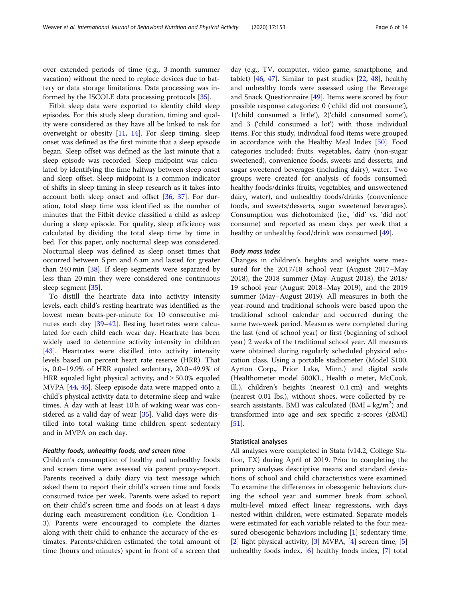over extended periods of time (e.g., 3-month summer vacation) without the need to replace devices due to battery or data storage limitations. Data processing was informed by the ISCOLE data processing protocols [\[35](#page-13-0)].

Fitbit sleep data were exported to identify child sleep episodes. For this study sleep duration, timing and quality were considered as they have all be linked to risk for overweight or obesity [\[11](#page-12-0), [14\]](#page-12-0). For sleep timing, sleep onset was defined as the first minute that a sleep episode began. Sleep offset was defined as the last minute that a sleep episode was recorded. Sleep midpoint was calculated by identifying the time halfway between sleep onset and sleep offset. Sleep midpoint is a common indicator of shifts in sleep timing in sleep research as it takes into account both sleep onset and offset [[36,](#page-13-0) [37](#page-13-0)]. For duration, total sleep time was identified as the number of minutes that the Fitbit device classified a child as asleep during a sleep episode. For quality, sleep efficiency was calculated by dividing the total sleep time by time in bed. For this paper, only nocturnal sleep was considered. Nocturnal sleep was defined as sleep onset times that occurred between 5 pm and 6 am and lasted for greater than 240 min [\[38\]](#page-13-0). If sleep segments were separated by less than 20 min they were considered one continuous sleep segment [\[35\]](#page-13-0).

To distill the heartrate data into activity intensity levels, each child's resting heartrate was identified as the lowest mean beats-per-minute for 10 consecutive minutes each day [[39](#page-13-0)–[42](#page-13-0)]. Resting heartrates were calculated for each child each wear day. Heartrate has been widely used to determine activity intensity in children [[43\]](#page-13-0). Heartrates were distilled into activity intensity levels based on percent heart rate reserve (HRR). That is, 0.0–19.9% of HRR equaled sedentary, 20.0–49.9% of HRR equaled light physical activity, and  $\geq$  50.0% equaled MVPA [[44](#page-13-0), [45\]](#page-13-0). Sleep episode data were mapped onto a child's physical activity data to determine sleep and wake times. A day with at least 10 h of waking wear was considered as a valid day of wear [\[35](#page-13-0)]. Valid days were distilled into total waking time children spent sedentary and in MVPA on each day.

#### Healthy foods, unhealthy foods, and screen time

Children's consumption of healthy and unhealthy foods and screen time were assessed via parent proxy-report. Parents received a daily diary via text message which asked them to report their child's screen time and foods consumed twice per week. Parents were asked to report on their child's screen time and foods on at least 4 days during each measurement condition (i.e. Condition 1– 3). Parents were encouraged to complete the diaries along with their child to enhance the accuracy of the estimates. Parents/children estimated the total amount of time (hours and minutes) spent in front of a screen that

day (e.g., TV, computer, video game, smartphone, and tablet) [[46,](#page-13-0) [47\]](#page-13-0). Similar to past studies  $[22, 48]$  $[22, 48]$  $[22, 48]$  $[22, 48]$ , healthy and unhealthy foods were assessed using the Beverage and Snack Questionnaire  $[49]$  $[49]$  $[49]$ . Items were scored by four possible response categories: 0 ('child did not consume'), 1('child consumed a little'), 2('child consumed some'), and 3 ('child consumed a lot') with those individual items. For this study, individual food items were grouped in accordance with the Healthy Meal Index [[50](#page-13-0)]. Food categories included: fruits, vegetables, dairy (non-sugar sweetened), convenience foods, sweets and desserts, and sugar sweetened beverages (including dairy), water. Two groups were created for analysis of foods consumed: healthy foods/drinks (fruits, vegetables, and unsweetened dairy, water), and unhealthy foods/drinks (convenience foods, and sweets/desserts, sugar sweetened beverages). Consumption was dichotomized (i.e., 'did' vs. 'did not' consume) and reported as mean days per week that a healthy or unhealthy food/drink was consumed [[49](#page-13-0)].

#### Body mass index

Changes in children's heights and weights were measured for the 2017/18 school year (August 2017–May 2018), the 2018 summer (May–August 2018), the 2018/ 19 school year (August 2018–May 2019), and the 2019 summer (May–August 2019). All measures in both the year-round and traditional schools were based upon the traditional school calendar and occurred during the same two-week period. Measures were completed during the last (end of school year) or first (beginning of school year) 2 weeks of the traditional school year. All measures were obtained during regularly scheduled physical education class. Using a portable stadiometer (Model S100, Ayrton Corp., Prior Lake, Minn.) and digital scale (Healthometer model 500KL, Health o meter, McCook, Ill.), children's heights (nearest 0.1 cm) and weights (nearest 0.01 lbs.), without shoes, were collected by research assistants. BMI was calculated  $(BMI = kg/m<sup>2</sup>)$  and transformed into age and sex specific z-scores (zBMI) [[51\]](#page-13-0).

#### Statistical analyses

All analyses were completed in Stata (v14.2, College Station, TX) during April of 2019. Prior to completing the primary analyses descriptive means and standard deviations of school and child characteristics were examined. To examine the differences in obesogenic behaviors during the school year and summer break from school, multi-level mixed effect linear regressions, with days nested within children, were estimated. Separate models were estimated for each variable related to the four measured obesogenic behaviors including [[1\]](#page-12-0) sedentary time, [[2\]](#page-12-0) light physical activity, [[3](#page-12-0)] MVPA, [[4\]](#page-12-0) screen time, [\[5](#page-12-0)] unhealthy foods index, [\[6\]](#page-12-0) healthy foods index, [\[7](#page-12-0)] total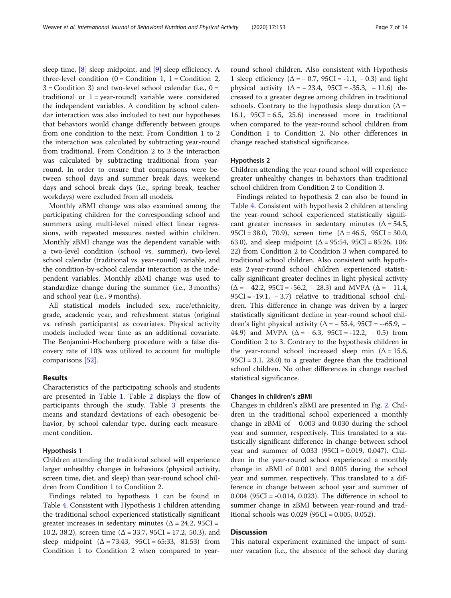sleep time, [[8\]](#page-12-0) sleep midpoint, and [\[9](#page-12-0)] sleep efficiency. A three-level condition  $(0 =$  Condition 1, 1 = Condition 2,  $3 =$  Condition 3) and two-level school calendar (i.e.,  $0 =$ traditional or  $1 = year$ -round) variable were considered the independent variables. A condition by school calendar interaction was also included to test our hypotheses that behaviors would change differently between groups from one condition to the next. From Condition 1 to 2 the interaction was calculated by subtracting year-round from traditional. From Condition 2 to 3 the interaction was calculated by subtracting traditional from yearround. In order to ensure that comparisons were between school days and summer break days, weekend days and school break days (i.e., spring break, teacher workdays) were excluded from all models.

Monthly zBMI change was also examined among the participating children for the corresponding school and summers using multi-level mixed effect linear regressions, with repeated measures nested within children. Monthly zBMI change was the dependent variable with a two-level condition (school vs. summer), two-level school calendar (traditional vs. year-round) variable, and the condition-by-school calendar interaction as the independent variables. Monthly zBMI change was used to standardize change during the summer (i.e., 3 months) and school year (i.e., 9 months).

All statistical models included sex, race/ethnicity, grade, academic year, and refreshment status (original vs. refresh participants) as covariates. Physical activity models included wear time as an additional covariate. The Benjamini-Hochenberg procedure with a false discovery rate of 10% was utilized to account for multiple comparisons [\[52](#page-13-0)].

#### Results

Characteristics of the participating schools and students are presented in Table [1.](#page-3-0) Table [2](#page-4-0) displays the flow of participants through the study. Table [3](#page-7-0) presents the means and standard deviations of each obesogenic behavior, by school calendar type, during each measurement condition.

#### Hypothesis 1

Children attending the traditional school will experience larger unhealthy changes in behaviors (physical activity, screen time, diet, and sleep) than year-round school children from Condition 1 to Condition 2.

Findings related to hypothesis 1 can be found in Table [4](#page-8-0). Consistent with Hypothesis 1 children attending the traditional school experienced statistically significant greater increases in sedentary minutes ( $\Delta = 24.2$ , 95CI = 10.2, 38.2), screen time ( $\Delta = 33.7$ , 95CI = 17.2, 50.3), and sleep midpoint  $(\Delta = 73:43, 95CI = 65:33, 81:53)$  from Condition 1 to Condition 2 when compared to yearround school children. Also consistent with Hypothesis 1 sleep efficiency ( $\Delta$  = -0.7, 95CI = -1.1, -0.3) and light physical activity ( $\Delta = -23.4$ , 95CI = -35.3, -11.6) decreased to a greater degree among children in traditional schools. Contrary to the hypothesis sleep duration ( $\Delta$  = 16.1,  $95CI = 6.5$ ,  $25.6$ ) increased more in traditional when compared to the year-round school children from Condition 1 to Condition 2. No other differences in change reached statistical significance.

#### Hypothesis 2

Children attending the year-round school will experience greater unhealthy changes in behaviors than traditional school children from Condition 2 to Condition 3.

Findings related to hypothesis 2 can also be found in Table [4.](#page-8-0) Consistent with hypothesis 2 children attending the year-round school experienced statistically significant greater increases in sedentary minutes ( $\Delta = 54.5$ , 95CI = 38.0, 70.9), screen time  $(\Delta = 46.5, 95C1 = 30.0,$ 63.0), and sleep midpoint ( $\Delta = 95:54$ , 95CI = 85:26, 106: 22) from Condition 2 to Condition 3 when compared to traditional school children. Also consistent with hypothesis 2 year-round school children experienced statistically significant greater declines in light physical activity  $(\Delta = -42.2, 95CI = -56.2, -28.3)$  and MVPA  $(\Delta = -11.4,$  $95CI = -19.1$ ,  $-3.7$ ) relative to traditional school children. This difference in change was driven by a larger statistically significant decline in year-round school children's light physical activity ( $\Delta$  = -55.4, 95CI = --65.9, -44.9) and MVPA  $(\Delta = -6.3, 95CI = -12.2, -0.5)$  from Condition 2 to 3. Contrary to the hypothesis children in the year-round school increased sleep min  $(\Delta = 15.6,$  $95CI = 3.1, 28.0$  to a greater degree than the traditional school children. No other differences in change reached statistical significance.

#### Changes in children's zBMI

Changes in children's zBMI are presented in Fig. [2.](#page-9-0) Children in the traditional school experienced a monthly change in zBMI of − 0.003 and 0.030 during the school year and summer, respectively. This translated to a statistically significant difference in change between school year and summer of 0.033 (95CI = 0.019, 0.047). Children in the year-round school experienced a monthly change in zBMI of 0.001 and 0.005 during the school year and summer, respectively. This translated to a difference in change between school year and summer of 0.004 (95CI = -0.014, 0.023). The difference in school to summer change in zBMI between year-round and traditional schools was 0.029 (95CI = 0.005, 0.052).

#### **Discussion**

This natural experiment examined the impact of summer vacation (i.e., the absence of the school day during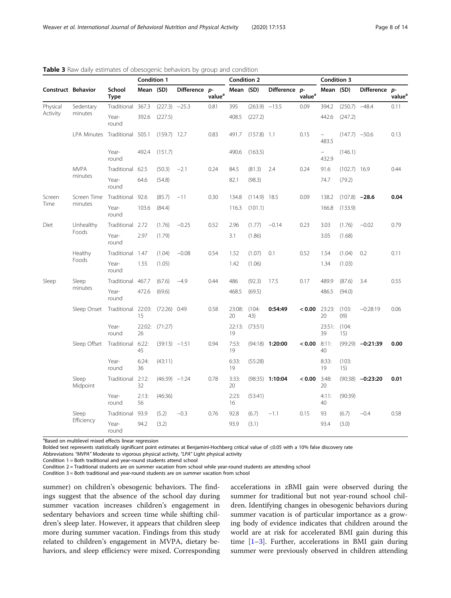|                    |                               |                                 | <b>Condition 1</b> |                 |               |                    | <b>Condition 2</b> |                 |                   |                    | <b>Condition 3</b>                |                 |                    |                    |
|--------------------|-------------------------------|---------------------------------|--------------------|-----------------|---------------|--------------------|--------------------|-----------------|-------------------|--------------------|-----------------------------------|-----------------|--------------------|--------------------|
| Construct Behavior |                               | School<br>Type                  | Mean (SD)          |                 | Difference p- | value <sup>a</sup> | Mean (SD)          |                 | Difference p-     | value <sup>a</sup> | Mean (SD)                         |                 | Difference p-      | value <sup>a</sup> |
| Physical           | Sedentary                     | Traditional 367.3               |                    | $(227.3) -25.3$ |               | 0.81               | 395                | $(263.9) -13.5$ |                   | 0.09               | 394.2                             | $(250.7)$ -48.4 |                    | 0.11               |
| Activity           | minutes                       | Year-<br>round                  | 392.6              | (227.5)         |               |                    | 408.5              | (227.2)         |                   |                    | 442.6                             | (247.2)         |                    |                    |
|                    | LPA Minutes Traditional 505.1 |                                 |                    | $(159.7)$ 12.7  |               | 0.83               | 491.7              | $(157.8)$ 1.1   |                   | 0.15               | $\bar{ }$<br>483.5                | $(147.7) -50.6$ |                    | 0.13               |
|                    |                               | Year-<br>round                  | 492.4              | (151.7)         |               |                    | 490.6              | (163.5)         |                   |                    | $\overline{\phantom{0}}$<br>432.9 | (146.1)         |                    |                    |
|                    | <b>MVPA</b>                   | Traditional 62.5                |                    | (50.3)          | $-2.1$        | 0.24               | 84.5               | (81.3)          | 2.4               | 0.24               | 91.6                              | $(102.7)$ 16.9  |                    | 0.44               |
|                    | minutes                       | Year-<br>round                  | 64.6               | (54.8)          |               |                    | 82.1               | (98.3)          |                   |                    | 74.7                              | (79.2)          |                    |                    |
| Screen             | Screen Time                   | Traditional                     | 92.6               | (85.7)          | $-11$         | 0.30               | 134.8              | $(114.9)$ 18.5  |                   | 0.09               | 138.2                             | $(107.8) -28.6$ |                    | 0.04               |
| Time               | minutes                       | Year-<br>round                  | 103.6              | (84.4)          |               |                    | 116.3              | (101.1)         |                   |                    | 166.8                             | (133.9)         |                    |                    |
| Diet               | Unhealthy                     | Traditional                     | 2.72               | (1.76)          | $-0.25$       | 0.52               | 2.96               | (1.77)          | $-0.14$           | 0.23               | 3.03                              | (1.76)          | $-0.02$            | 0.79               |
|                    | Foods                         | Year-<br>round                  | 2.97               | (1.79)          |               |                    | 3.1                | (1.86)          |                   |                    | 3.05                              | (1.68)          |                    |                    |
|                    | Healthy                       | Traditional 1.47                |                    | (1.04)          | $-0.08$       | 0.54               | 1.52               | (1.07)          | 0.1               | 0.52               | 1.54                              | (1.04)          | 0.2                | 0.11               |
|                    | Foods                         | Year-<br>round                  | 1.55               | (1.05)          |               |                    | 1.42               | (1.06)          |                   |                    | 1.34                              | (1.03)          |                    |                    |
| Sleep              | Sleep                         | Traditional 467.7               |                    | (67.6)          | $-4.9$        | 0.44               | 486                | (92.3)          | 17.5              | 0.17               | 489.9                             | (87.6)          | 3.4                | 0.55               |
|                    | minutes                       | Year-<br>round                  | 472.6              | (69.6)          |               |                    | 468.5              | (69.5)          |                   |                    | 486.5                             | (94.0)          |                    |                    |
|                    | Sleep Onset                   | Traditional 22:03: (72:26) 0:49 | 15                 |                 |               | 0.58               | 23:08:<br>20       | (104)<br>43)    | 0:54:49           | < 0.00             | 23:23:<br>20                      | (103)<br>(09)   | $-0:28:19$         | 0.06               |
|                    |                               | Year-<br>round                  | 26                 | 22:02: (71:27)  |               |                    | 19                 | 22:13: (73:51)  |                   |                    | 23:51: (104:<br>39                | 15)             |                    |                    |
|                    | Sleep Offset                  | Traditional 6:22:               | 45                 | $(39:13) -1:51$ |               | 0.94               | 7:53:<br>19        |                 | $(94:18)$ 1:20:00 | < 0.00             | 8:11:<br>40                       |                 | $(99:29) -0:21:39$ | 0.00               |
|                    |                               | Year-<br>round                  | 6:24:<br>36        | (43:11)         |               |                    | 6:33:<br>19        | (55:28)         |                   |                    | 8:33:<br>19                       | (103)<br>15)    |                    |                    |
|                    | Sleep<br>Midpoint             | Traditional                     | 2:12:<br>32        | $(46:39) -1:24$ |               | 0.78               | 3:33:<br>20        |                 | $(98:35)$ 1:10:04 | < 0.00             | 3:48:<br>20                       |                 | $(90:38) -0:23:20$ | 0.01               |
|                    |                               | Year-<br>round                  | 2:13:<br>56        | (46:36)         |               |                    | 2:23:<br>16        | (53:41)         |                   |                    | 4:11:<br>40                       | (90:39)         |                    |                    |
|                    | Sleep                         | Traditional                     | 93.9               | (5.2)           | $-0.3$        | 0.76               | 92.8               | (6.7)           | $-1.1$            | 0.15               | 93                                | (6.7)           | $-0.4$             | 0.58               |
|                    | Efficiency                    | Year-<br>round                  | 94.2               | (3.2)           |               |                    | 93.9               | (3.1)           |                   |                    | 93.4                              | (3.0)           |                    |                    |

#### <span id="page-7-0"></span>Table 3 Raw daily estimates of obesogenic behaviors by group and condition

<sup>a</sup>Based on multilevel mixed effects linear regression

Bolded text represents statistically significant point estimates at Benjamini-Hochberg critical value of ≤0.05 with a 10% false discovery rate

Abbreviations "MVPA" Moderate to vigorous physical activity, "LPA" Light physical activity

Condition 1 = Both traditional and year-round students attend school

Condition 2 = Traditional students are on summer vacation from school while year-round students are attending school

Condition 3 = Both traditional and year-round students are on summer vacation from school

summer) on children's obesogenic behaviors. The findings suggest that the absence of the school day during summer vacation increases children's engagement in sedentary behaviors and screen time while shifting children's sleep later. However, it appears that children sleep more during summer vacation. Findings from this study related to children's engagement in MVPA, dietary behaviors, and sleep efficiency were mixed. Corresponding accelerations in zBMI gain were observed during the summer for traditional but not year-round school children. Identifying changes in obesogenic behaviors during summer vacation is of particular importance as a growing body of evidence indicates that children around the world are at risk for accelerated BMI gain during this time  $[1-3]$  $[1-3]$  $[1-3]$  $[1-3]$ . Further, accelerations in BMI gain during summer were previously observed in children attending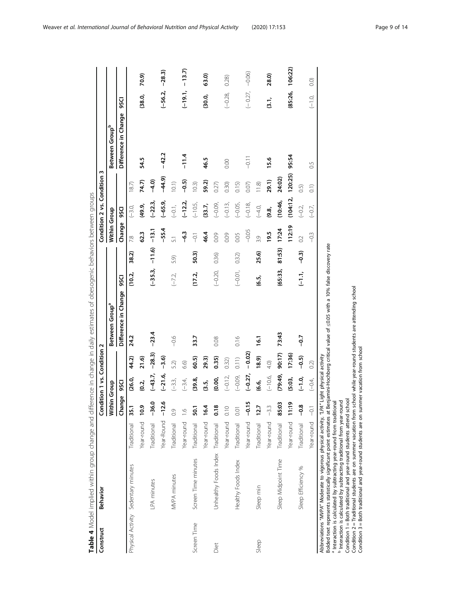| Change<br>Year-Round -12.6<br>$-36.0$<br>$-0.15$<br>Year-round 10.9<br>0.18<br>16.4<br>35.1<br>0.10<br>50.1<br>0.01<br>$\frac{6}{1}$<br>$\frac{6}{2}$<br>Year-round<br>Year-round<br>Year-round<br>Year-round<br>Traditional<br>Traditional<br>Unhealthy Foods Index Traditional<br>Traditional<br>Traditional<br>Traditional<br>Screen Time minutes<br>Healthy Foods Index<br>Physical Activity Sedentary minutes<br>MVPA minutes<br>LPA minutes<br>Screen Time<br>Diet | (26.0,<br>95CI<br>Within Group | Condition 1 vs. Condition 2 |                            |                   |        |                |                  | Condition 2 vs. Condition 3 |                            |           |         |
|--------------------------------------------------------------------------------------------------------------------------------------------------------------------------------------------------------------------------------------------------------------------------------------------------------------------------------------------------------------------------------------------------------------------------------------------------------------------------|--------------------------------|-----------------------------|----------------------------|-------------------|--------|----------------|------------------|-----------------------------|----------------------------|-----------|---------|
|                                                                                                                                                                                                                                                                                                                                                                                                                                                                          |                                |                             | Between Group <sup>a</sup> |                   |        | Within Group   |                  |                             | Between Group <sup>b</sup> |           |         |
|                                                                                                                                                                                                                                                                                                                                                                                                                                                                          |                                |                             | Difference in Change       | 95CI              |        | Change         | 95CI             |                             | Difference in Change       | 5SCI      |         |
|                                                                                                                                                                                                                                                                                                                                                                                                                                                                          |                                | 44.2)                       | 24.2                       | (10.2,            | 38.2)  | 7.8            | $(-3.0,$         | (87)                        |                            |           |         |
|                                                                                                                                                                                                                                                                                                                                                                                                                                                                          | (0.2,                          | 21.6                        |                            |                   |        | 62.3           | (49.9,           | 74.7                        | 54.5                       | (38.0,    | 70.9)   |
|                                                                                                                                                                                                                                                                                                                                                                                                                                                                          | $(-43.7,$                      | $-28.3$                     | $-23.4$                    | $(-35.3, -11.6)$  |        | $-13.1$        | $(-22.3,$        | $-4.0$                      |                            |           |         |
|                                                                                                                                                                                                                                                                                                                                                                                                                                                                          | $(-21.6,$                      | $-3.6$                      |                            |                   |        | $-55.4$        | $(-65.9)$        | $-44.9$                     | $-42.2$                    | $(-56.2,$ | $-28.3$ |
|                                                                                                                                                                                                                                                                                                                                                                                                                                                                          | $(-3.3)$                       | 5.2)                        | $-0.6$                     | $(-7.2,$          | 5.9)   | 5.1            | $(-0.1,$         | 10.1)                       |                            |           |         |
|                                                                                                                                                                                                                                                                                                                                                                                                                                                                          | $(-3.4,$                       | 6.6)                        |                            |                   |        | ှိ             | $(-12.2,$        | $-0.5$                      | $-11.4$                    | $(-19.1,$ | $-13.7$ |
|                                                                                                                                                                                                                                                                                                                                                                                                                                                                          | (39.8,                         | 60.5)                       | 33.7                       | (17.2,            | 50.3)  | $\overline{q}$ | $(-10.5,$        | 10.3)                       |                            |           |         |
|                                                                                                                                                                                                                                                                                                                                                                                                                                                                          | (3.5,                          | 29.3)                       |                            |                   |        | 46.4           | (33.7,           | 59.2)                       | 46.5                       | (30.0,    | 63.0)   |
|                                                                                                                                                                                                                                                                                                                                                                                                                                                                          | (0.00,                         | 0.35)                       | 0.08                       | $(-0.20,$         | 0.36)  | 0.09           | $(-0.09,$        | 0.27)                       |                            |           |         |
|                                                                                                                                                                                                                                                                                                                                                                                                                                                                          | $(-0.12,$                      | 0.32)                       |                            |                   |        | 0.09           | $(-0.13,$        | 0.30)                       | 0.00                       | $(-0.28,$ | 0.28)   |
|                                                                                                                                                                                                                                                                                                                                                                                                                                                                          | $(-0.09,$                      | 0.11)                       | 0.16                       | $(-0.01,$         | 0.32)  | 0.05           | $(-0.05,$        | 0.15                        |                            |           |         |
|                                                                                                                                                                                                                                                                                                                                                                                                                                                                          | $(-0.27,$                      | $-0.02$                     |                            |                   |        | $-0.05$        | $(-0.18,$        | 0.07)                       | $-0.11$                    | $(-0.27,$ | $-0.06$ |
| 12.7<br>Traditional<br>Sleep min<br>Sleep                                                                                                                                                                                                                                                                                                                                                                                                                                | 6.6,                           | (6.91)                      | $\overline{16}$            | (6.5 <sub>)</sub> | 25.6)  | 3.9            | $(-4.0,$         | 11.8                        |                            |           |         |
| $-3.3$<br>Year-round                                                                                                                                                                                                                                                                                                                                                                                                                                                     | $(-10.6,$                      | 4.0                         |                            |                   |        | 19.5           | $\overline{9.8}$ | 29.1)                       | 15.6                       | (3.1)     | 28.0)   |
| 85:03<br>Traditional<br>Sleep Midpoint Time                                                                                                                                                                                                                                                                                                                                                                                                                              | (79:49,                        | 90:17)                      | 73:43                      | (65:33)           | 81:53) | 17:24          | (10:46,          | 24:02)                      |                            |           |         |
| Year-round 1:19                                                                                                                                                                                                                                                                                                                                                                                                                                                          | (5:03)                         | 17:36)                      |                            |                   |        | 112:19         | (104:12,         | 120:25)                     | 95:54                      | (85:26,   | 106:22) |
| $-9.8$<br>Traditional<br>Sleep Efficiency %                                                                                                                                                                                                                                                                                                                                                                                                                              | $(-1.0,$                       | $-0.5$                      | $-0.7$                     | $(-1.1,$          | $-0.3$ | 0.2            | $(-0.2,$         | 0.5)                        |                            |           |         |
| $\overline{q}$<br>Year-round                                                                                                                                                                                                                                                                                                                                                                                                                                             | $(-0.4,$                       | 0.2)                        |                            |                   |        | $-0.3$         | $(-0.7,$         | $\overline{0.1}$            | 0.5                        | $(-1.0,$  | 0.0)    |

Bolded text represents statistically significant point estimates at Benjamini-Hochberg critical value of ≤0.05 with a 10% false discovery rate aInteraction is calculated by subtracting year-round from traditional

Interaction is calculated by subtracting traditional from year-round

Condition 1 = Both traditional and year-round students attend school

<sup>a</sup> Interaction is calculated by subtracting year-round from traditional<br><sup>b</sup> Interaction is calculated by subtracting traditional from year-round<br>Condition 1 = Both traditional and year-round students attend school<br>Conditi Condition 2 = Traditional students are on summer vacation from school while year-round students are attending school

Condition 3 = Both traditional and year-round students are on summer vacation from school

<span id="page-8-0"></span>Weaver et al. International Journal of Behavioral Nutrition and Physical Activity (2020) 17:153 Page 9 of 14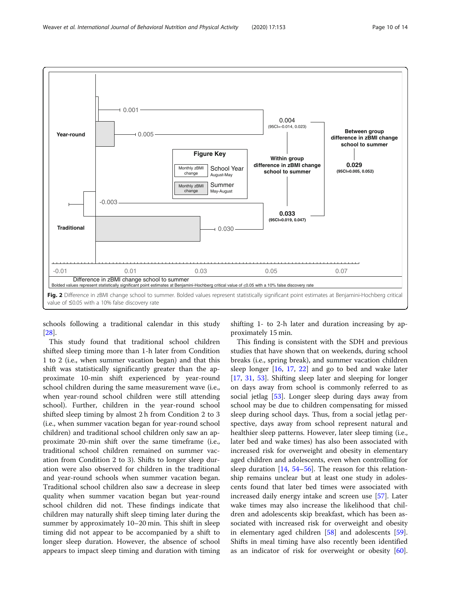<span id="page-9-0"></span>

schools following a traditional calendar in this study [[28\]](#page-12-0).

This study found that traditional school children shifted sleep timing more than 1-h later from Condition 1 to 2 (i.e., when summer vacation began) and that this shift was statistically significantly greater than the approximate 10-min shift experienced by year-round school children during the same measurement wave (i.e., when year-round school children were still attending school). Further, children in the year-round school shifted sleep timing by almost 2 h from Condition 2 to 3 (i.e., when summer vacation began for year-round school children) and traditional school children only saw an approximate 20-min shift over the same timeframe (i.e., traditional school children remained on summer vacation from Condition 2 to 3). Shifts to longer sleep duration were also observed for children in the traditional and year-round schools when summer vacation began. Traditional school children also saw a decrease in sleep quality when summer vacation began but year-round school children did not. These findings indicate that children may naturally shift sleep timing later during the summer by approximately 10–20 min. This shift in sleep timing did not appear to be accompanied by a shift to longer sleep duration. However, the absence of school appears to impact sleep timing and duration with timing shifting 1- to 2-h later and duration increasing by approximately 15 min.

This finding is consistent with the SDH and previous studies that have shown that on weekends, during school breaks (i.e., spring break), and summer vacation children sleep longer [\[16](#page-12-0), [17](#page-12-0), [22\]](#page-12-0) and go to bed and wake later [[17,](#page-12-0) [31,](#page-12-0) [53\]](#page-13-0). Shifting sleep later and sleeping for longer on days away from school is commonly referred to as social jetlag [[53\]](#page-13-0). Longer sleep during days away from school may be due to children compensating for missed sleep during school days. Thus, from a social jetlag perspective, days away from school represent natural and healthier sleep patterns. However, later sleep timing (i.e., later bed and wake times) has also been associated with increased risk for overweight and obesity in elementary aged children and adolescents, even when controlling for sleep duration [\[14,](#page-12-0) [54](#page-13-0)–[56](#page-13-0)]. The reason for this relationship remains unclear but at least one study in adolescents found that later bed times were associated with increased daily energy intake and screen use [\[57](#page-13-0)]. Later wake times may also increase the likelihood that children and adolescents skip breakfast, which has been associated with increased risk for overweight and obesity in elementary aged children [[58\]](#page-13-0) and adolescents [\[59](#page-13-0)]. Shifts in meal timing have also recently been identified as an indicator of risk for overweight or obesity [\[60](#page-13-0)].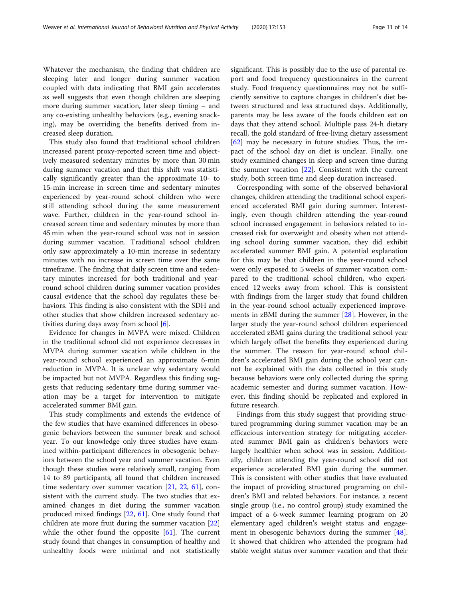Whatever the mechanism, the finding that children are sleeping later and longer during summer vacation coupled with data indicating that BMI gain accelerates as well suggests that even though children are sleeping more during summer vacation, later sleep timing – and any co-existing unhealthy behaviors (e.g., evening snacking), may be overriding the benefits derived from increased sleep duration.

This study also found that traditional school children increased parent proxy-reported screen time and objectively measured sedentary minutes by more than 30 min during summer vacation and that this shift was statistically significantly greater than the approximate 10- to 15-min increase in screen time and sedentary minutes experienced by year-round school children who were still attending school during the same measurement wave. Further, children in the year-round school increased screen time and sedentary minutes by more than 45 min when the year-round school was not in session during summer vacation. Traditional school children only saw approximately a 10-min increase in sedentary minutes with no increase in screen time over the same timeframe. The finding that daily screen time and sedentary minutes increased for both traditional and yearround school children during summer vacation provides causal evidence that the school day regulates these behaviors. This finding is also consistent with the SDH and other studies that show children increased sedentary activities during days away from school [\[6\]](#page-12-0).

Evidence for changes in MVPA were mixed. Children in the traditional school did not experience decreases in MVPA during summer vacation while children in the year-round school experienced an approximate 6-min reduction in MVPA. It is unclear why sedentary would be impacted but not MVPA. Regardless this finding suggests that reducing sedentary time during summer vacation may be a target for intervention to mitigate accelerated summer BMI gain.

This study compliments and extends the evidence of the few studies that have examined differences in obesogenic behaviors between the summer break and school year. To our knowledge only three studies have examined within-participant differences in obesogenic behaviors between the school year and summer vacation. Even though these studies were relatively small, ranging from 14 to 89 participants, all found that children increased time sedentary over summer vacation [\[21](#page-12-0), [22](#page-12-0), [61\]](#page-13-0), consistent with the current study. The two studies that examined changes in diet during the summer vacation produced mixed findings [[22](#page-12-0), [61\]](#page-13-0). One study found that children ate more fruit during the summer vacation [[22](#page-12-0)] while the other found the opposite  $[61]$  $[61]$ . The current study found that changes in consumption of healthy and unhealthy foods were minimal and not statistically significant. This is possibly due to the use of parental report and food frequency questionnaires in the current study. Food frequency questionnaires may not be sufficiently sensitive to capture changes in children's diet between structured and less structured days. Additionally, parents may be less aware of the foods children eat on days that they attend school. Multiple pass 24-h dietary recall, the gold standard of free-living dietary assessment [[62\]](#page-13-0) may be necessary in future studies. Thus, the impact of the school day on diet is unclear. Finally, one study examined changes in sleep and screen time during the summer vacation  $[22]$  $[22]$ . Consistent with the current study, both screen time and sleep duration increased.

Corresponding with some of the observed behavioral changes, children attending the traditional school experienced accelerated BMI gain during summer. Interestingly, even though children attending the year-round school increased engagement in behaviors related to increased risk for overweight and obesity when not attending school during summer vacation, they did exhibit accelerated summer BMI gain. A potential explanation for this may be that children in the year-round school were only exposed to 5 weeks of summer vacation compared to the traditional school children, who experienced 12 weeks away from school. This is consistent with findings from the larger study that found children in the year-round school actually experienced improvements in zBMI during the summer [[28\]](#page-12-0). However, in the larger study the year-round school children experienced accelerated zBMI gains during the traditional school year which largely offset the benefits they experienced during the summer. The reason for year-round school children's accelerated BMI gain during the school year cannot be explained with the data collected in this study because behaviors were only collected during the spring academic semester and during summer vacation. However, this finding should be replicated and explored in future research.

Findings from this study suggest that providing structured programming during summer vacation may be an efficacious intervention strategy for mitigating accelerated summer BMI gain as children's behaviors were largely healthier when school was in session. Additionally, children attending the year-round school did not experience accelerated BMI gain during the summer. This is consistent with other studies that have evaluated the impact of providing structured programing on children's BMI and related behaviors. For instance, a recent single group (i.e., no control group) study examined the impact of a 6-week summer learning program on 20 elementary aged children's weight status and engagement in obesogenic behaviors during the summer [\[48](#page-13-0)]. It showed that children who attended the program had stable weight status over summer vacation and that their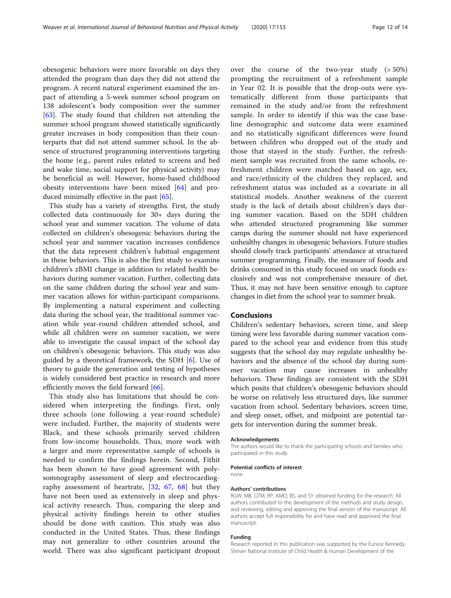obesogenic behaviors were more favorable on days they attended the program than days they did not attend the program. A recent natural experiment examined the impact of attending a 5-week summer school program on 138 adolescent's body composition over the summer [[63\]](#page-13-0). The study found that children not attending the summer school program showed statistically significantly greater increases in body composition than their counterparts that did not attend summer school. In the absence of structured programming interventions targeting the home (e.g., parent rules related to screens and bed and wake time, social support for physical activity) may be beneficial as well. However, home-based childhood obesity interventions have been mixed [[64](#page-13-0)] and produced minimally effective in the past [[65\]](#page-13-0).

This study has a variety of strengths. First, the study collected data continuously for 30+ days during the school year and summer vacation. The volume of data collected on children's obesogenic behaviors during the school year and summer vacation increases confidence that the data represent children's habitual engagement in these behaviors. This is also the first study to examine children's zBMI change in addition to related health behaviors during summer vacation. Further, collecting data on the same children during the school year and summer vacation allows for within-participant comparisons. By implementing a natural experiment and collecting data during the school year, the traditional summer vacation while year-round children attended school, and while all children were on summer vacation, we were able to investigate the causal impact of the school day on children's obesogenic behaviors. This study was also guided by a theoretical framework, the SDH [[6](#page-12-0)]. Use of theory to guide the generation and testing of hypotheses is widely considered best practice in research and more efficiently moves the field forward [\[66](#page-13-0)].

This study also has limitations that should be considered when interpreting the findings. First, only three schools (one following a year-round schedule) were included. Further, the majority of students were Black, and these schools primarily served children from low-income households. Thus, more work with a larger and more representative sample of schools is needed to confirm the findings herein. Second, Fitbit has been shown to have good agreement with polysomnography assessment of sleep and electrocardiography assessment of heartrate, [\[32](#page-12-0), [67](#page-13-0), [68\]](#page-13-0) but they have not been used as extensively in sleep and physical activity research. Thus, comparing the sleep and physical activity findings herein to other studies should be done with caution. This study was also conducted in the United States. Thus, these findings may not generalize to other countries around the world. There was also significant participant dropout

over the course of the two-year study (> 50%) prompting the recruitment of a refreshment sample in Year 02. It is possible that the drop-outs were systematically different from those participants that remained in the study and/or from the refreshment sample. In order to identify if this was the case baseline demographic and outcome data were examined and no statistically significant differences were found between children who dropped out of the study and those that stayed in the study. Further, the refreshment sample was recruited from the same schools, refreshment children were matched based on age, sex, and race/ethnicity of the children they replaced, and refreshment status was included as a covariate in all statistical models. Another weakness of the current study is the lack of details about children's days during summer vacation. Based on the SDH children who attended structured programming like summer camps during the summer should not have experienced unhealthy changes in obesogenic behaviors. Future studies should closely track participants' attendance at structured summer programming. Finally, the measure of foods and drinks consumed in this study focused on snack foods exclusively and was not comprehensive measure of diet. Thus, it may not have been sensitive enough to capture changes in diet from the school year to summer break.

#### Conclusions

Children's sedentary behaviors, screen time, and sleep timing were less favorable during summer vacation compared to the school year and evidence from this study suggests that the school day may regulate unhealthy behaviors and the absence of the school day during summer vacation may cause increases in unhealthy behaviors. These findings are consistent with the SDH which posits that children's obesogenic behaviors should be worse on relatively less structured days, like summer vacation from school. Sedentary behaviors, screen time, and sleep onset, offset, and midpoint are potential targets for intervention during the summer break.

#### Acknowledgements

The authors would like to thank the participating schools and families who participated in this study.

#### Potential conflicts of interest

none.

#### Authors' contributions

RGW, MB, GTM, RP, AMO, BS, and SY obtained funding for the research. All authors contributed to the development of the methods and study design. and reviewing, editing and approving the final version of the manuscript. All authors accept full responsibility for and have read and approved the final manuscript.

#### Funding

Research reported in this publication was supported by the Eunice Kennedy Shriver National Institute of Child Health & Human Development of the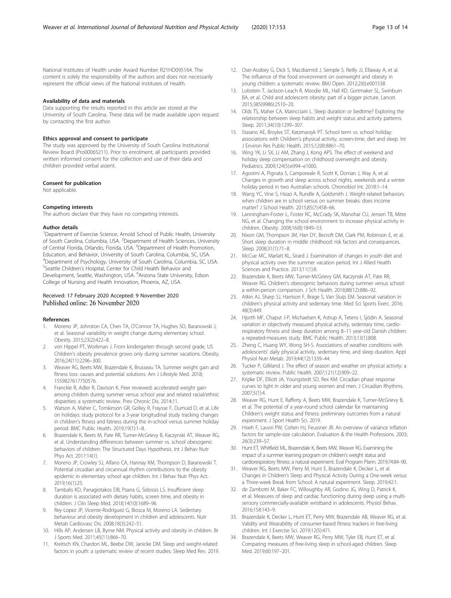<span id="page-12-0"></span>National Institutes of Health under Award Number R21HD095164. The content is solely the responsibility of the authors and does not necessarily represent the official views of the National Institutes of Health.

#### Availability of data and materials

Data supporting the results reported in this article are stored at the University of South Carolina. These data will be made available upon request by contacting the first author.

#### Ethics approval and consent to participate

The study was approved by the University of South Carolina Institutional Review Board (Pro00065211). Prior to enrolment, all participants provided written informed consent for the collection and use of their data and children provided verbal assent.

#### Consent for publication

Not applicable.

#### Competing interests

The authors declare that they have no competing interests.

#### Author details

<sup>1</sup>Department of Exercise Science, Arnold School of Public Health, University of South Carolina, Columbia, USA. <sup>2</sup>Department of Health Sciences, University of Central Florida, Orlando, Florida, USA. <sup>3</sup>Department of Health Promotion, Education, and Behavior, University of South Carolina, Columbia, SC, USA. 4 Department of Psychology, University of South Carolina, Columbia, SC, USA. 5 Seattle Children's Hospital, Center for Child Health Behavior and Development, Seattle, Washington, USA. <sup>6</sup>Arizona State University, Edson College of Nursing and Health Innovation, Phoenix, AZ, USA.

#### Received: 17 February 2020 Accepted: 9 November 2020 Published online: 26 November 2020

#### References

- Moreno JP, Johnston CA, Chen TA, O'Connor TA, Hughes SO, Baranowski J, et al. Seasonal variability in weight change during elementary school. Obesity. 2015;23(2):422–8.
- von Hippel PT, Workman J. From kindergarten through second grade, US Children's obesity prevalence grows only during summer vacations. Obesity. 2016;24(11):2296–300.
- 3. Weaver RG, Beets MW, Brazendale K, Brusseau TA. Summer weight gain and fitness loss: causes and potential solutions. Am J Lifestyle Med. 2018; 1559827617750576.
- 4. Franckle R, Adler R, Davison K. Peer reviewed: accelerated weight gain among children during summer versus school year and related racial/ethnic disparities: a systematic review. Prev Chronic Dis. 2014;11.
- 5. Watson A, Maher C, Tomkinson GR, Golley R, Fraysse F, Dumuid D, et al. Life on holidays: study protocol for a 3-year longitudinal study tracking changes in children's fitness and fatness during the in-school versus summer holiday period. BMC Public Health. 2019;19(1):1–8.
- 6. Brazendale K, Beets M, Pate RR, Turner-McGrievy B, Kaczynski AT, Weaver RG, et al. Understanding differences between summer vs. school obesogenic behaviors of children: The Structured Days Hypothesis. Int J Behav Nutr Phys Act. 2017:14(1).
- 7. Moreno JP, Crowley SJ, Alfano CA, Hannay KM, Thompson D, Baranowski T. Potential circadian and circannual rhythm contributions to the obesity epidemic in elementary school age children. Int J Behav Nutr Phys Act. 2019;16(1):25.
- Tambalis KD, Panagiotakos DB, Psarra G, Sidossis LS. Insufficient sleep duration is associated with dietary habits, screen time, and obesity in children. J Clin Sleep Med. 2018;14(10):1689–96.
- 9. Rey-Lopez JP, Vicente-Rodríguez G, Biosca M, Moreno LA. Sedentary behaviour and obesity development in children and adolescents. Nutr Metab Cardiovasc Dis. 2008;18(3):242–51.
- 10. Hills AP, Andersen LB, Byrne NM. Physical activity and obesity in children. Br J Sports Med. 2011;45(11):866–70.
- 11. Kreitsch KN, Chardon ML, Beebe DW, Janicke DM. Sleep and weight-related factors in youth: a systematic review of recent studies. Sleep Med Rev. 2019.
- 12. Osei-Assibey G, Dick S, Macdiarmid J, Semple S, Reilly JJ, Ellaway A, et al. The influence of the food environment on overweight and obesity in young children: a systematic review. BMJ Open. 2012;2(6):e001538.
- 13. Lobstein T, Jackson-Leach R, Moodie ML, Hall KD, Gortmaker SL, Swinburn BA, et al. Child and adolescent obesity: part of a bigger picture. Lancet. 2015;385(9986):2510–20.
- 14. Olds TS, Maher CA, Matricciani L. Sleep duration or bedtime? Exploring the relationship between sleep habits and weight status and activity patterns. Sleep. 2011;34(10):1299–307.
- 15. Staiano AE, Broyles ST, Katzmarzyk PT. School term vs. school holiday: associations with Children's physical activity, screen-time, diet and sleep. Int J Environ Res Public Health. 2015;12(8):8861–70.
- 16. Wing YK, Li SX, Li AM, Zhang J, Kong APS. The effect of weekend and holiday sleep compensation on childhood overweight and obesity. Pediatrics. 2009;124(5):e994–e1000.
- 17. Agostini A, Pignata S, Camporeale R, Scott K, Dorrian J, Way A, et al. Changes in growth and sleep across school nights, weekends and a winter holiday period in two Australian schools. Chronobiol Int. 2018:1–14.
- 18. Wang YC, Vine S, Hsiao A, Rundle A, Goldsmith J. Weight-related behaviors when children are in school versus on summer breaks: does income matter? J School Health. 2015;85(7):458–66.
- 19. Lanningham-Foster L, Foster RC, McCrady SK, Manohar CU, Jensen TB, Mitre NG, et al. Changing the school environment to increase physical activity in children. Obesity. 2008;16(8):1849–53.
- 20. Nixon GM, Thompson JM, Han DY, Becroft DM, Clark PM, Robinson E, et al. Short sleep duration in middle childhood: risk factors and consequences. Sleep. 2008;31(1):71–8.
- 21. McCue MC, Marlatt KL, Sirard J. Examination of changes in youth diet and physical activity over the summer vacation period. Int J Allied Health Sciences and Practice. 2013;11(1):8.
- 22. Brazendale K, Beets MW, Turner-McGrievy GM, Kaczynski AT, Pate RR, Weaver RG. Children's obesogenic behaviors during summer versus school: a within-person comparison. J Sch Health. 2018;88(12):886–92.
- 23. Atkin AJ, Sharp SJ, Harrison F, Brage S, Van Sluijs EM. Seasonal variation in children's physical activity and sedentary time. Med Sci Sports Exerc. 2016; 48(3):449.
- 24. Hjorth MF, Chaput J-P, Michaelsen K, Astrup A, Tetens I, Sjödin A. Seasonal variation in objectively measured physical activity, sedentary time, cardiorespiratory fitness and sleep duration among 8–11 year-old Danish children: a repeated-measures study. BMC Public Health. 2013;13(1):808.
- 25. Zheng C, Huang WY, Wong SH-S. Associations of weather conditions with adolescents' daily physical activity, sedentary time, and sleep duration. Appl Physiol Nutr Metab. 2019;44(12):1339–44.
- 26. Tucker P, Gilliland J. The effect of season and weather on physical activity: a systematic review. Public Health. 2007;121(12):909–22.
- 27. Kripke DF, Elliott JA, Youngstedt SD, Rex KM. Circadian phase response curves to light in older and young women and men. J Circadian Rhythms. 2007;5(1):4.
- 28. Weaver RG, Hunt E, Rafferty A, Beets MW, Brazendale K, Turner-McGrievy B, et al. The potential of a year-round school calendar for maintaining Children's weight status and fitness: preliminary outcomes from a natural experiment. J Sport Health Sci. 2019.
- 29. Hsieh F, Lavori PW, Cohen HJ, Feussner JR. An overview of variance inflation factors for sample-size calculation. Evaluation & the Health Professions. 2003; 26(3):239–57.
- 30. Hunt ET, Whitfield ML, Brazendale K, Beets MW, Weaver RG. Examining the impact of a summer learning program on children's weight status and cardiorespiratory fitness: a natural experiment. Eval Program Plann. 2019;74:84–90.
- 31. Weaver RG, Beets MW, Perry M, Hunt E, Brazendale K, Decker L, et al. Changes in Children's Sleep and Physical Activity During a One-week versus a Three-week Break from School: A natural experiment. Sleep. 2019;42:1.
- 32. de Zambotti M, Baker FC, Willoughby AR, Godino JG, Wing D, Patrick K, et al. Measures of sleep and cardiac functioning during sleep using a multisensory commercially-available wristband in adolescents. Physiol Behav. 2016;158:143–9.
- 33. Brazendale K, Decker L, Hunt ET, Perry MW, Brazendale AB, Weaver RG, et al. Validity and Wearability of consumer-based fitness trackers in free-living children. Int J Exercise Sci. 2019;12(5):471.
- 34. Brazendale K, Beets MW, Weaver RG, Perry MW, Tyler EB, Hunt ET, et al. Comparing measures of free-living sleep in school-aged children. Sleep Med. 2019;60:197–201.